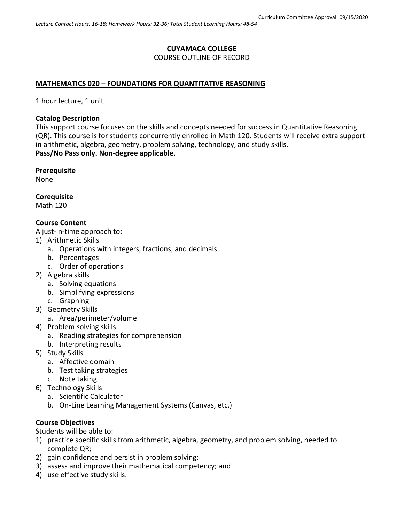# **CUYAMACA COLLEGE** COURSE OUTLINE OF RECORD

## **MATHEMATICS 020 – FOUNDATIONS FOR QUANTITATIVE REASONING**

1 hour lecture, 1 unit

#### **Catalog Description**

This support course focuses on the skills and concepts needed for success in Quantitative Reasoning (QR). This course is for students concurrently enrolled in Math 120. Students will receive extra support in arithmetic, algebra, geometry, problem solving, technology, and study skills. **Pass/No Pass only. Non-degree applicable.**

#### **Prerequisite**

None

**Corequisite**

Math 120

#### **Course Content**

A just-in-time approach to:

- 1) Arithmetic Skills
	- a. Operations with integers, fractions, and decimals
	- b. Percentages
	- c. Order of operations
- 2) Algebra skills
	- a. Solving equations
	- b. Simplifying expressions
	- c. Graphing
- 3) Geometry Skills
	- a. Area/perimeter/volume
- 4) Problem solving skills
	- a. Reading strategies for comprehension
	- b. Interpreting results
- 5) Study Skills
	- a. Affective domain
	- b. Test taking strategies
	- c. Note taking
- 6) Technology Skills
	- a. Scientific Calculator
	- b. On-Line Learning Management Systems (Canvas, etc.)

# **Course Objectives**

Students will be able to:

- 1) practice specific skills from arithmetic, algebra, geometry, and problem solving, needed to complete QR;
- 2) gain confidence and persist in problem solving;
- 3) assess and improve their mathematical competency; and
- 4) use effective study skills.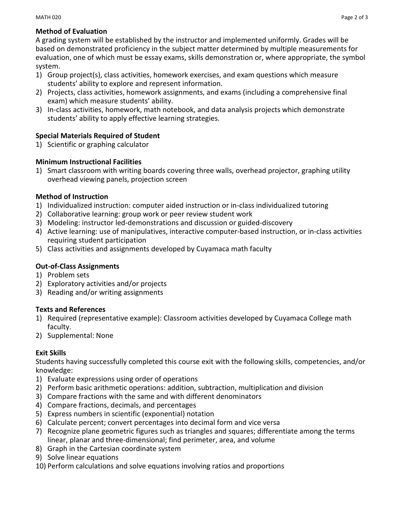## **Method of Evaluation**

A grading system will be established by the instructor and implemented uniformly. Grades will be based on demonstrated proficiency in the subject matter determined by multiple measurements for evaluation, one of which must be essay exams, skills demonstration or, where appropriate, the symbol system.

- 1) Group project(s), class activities, homework exercises, and exam questions which measure students' ability to explore and represent information.
- 2) Projects, class activities, homework assignments, and exams (including a comprehensive final exam) which measure students' ability.
- 3) In-class activities, homework, math notebook, and data analysis projects which demonstrate students' ability to apply effective learning strategies.

## **Special Materials Required of Student**

1) Scientific or graphing calculator

## **Minimum Instructional Facilities**

1) Smart classroom with writing boards covering three walls, overhead projector, graphing utility overhead viewing panels, projection screen

#### **Method of Instruction**

- 1) Individualized instruction: computer aided instruction or in-class individualized tutoring
- 2) Collaborative learning: group work or peer review student work
- 3) Modeling: instructor led-demonstrations and discussion or guided-discovery
- 4) Active learning: use of manipulatives, interactive computer-based instruction, or in-class activities requiring student participation
- 5) Class activities and assignments developed by Cuyamaca math faculty

# **Out-of-Class Assignments**

- 1) Problem sets
- 2) Exploratory activities and/or projects
- 3) Reading and/or writing assignments

#### **Texts and References**

- 1) Required (representative example): Classroom activities developed by Cuyamaca College math faculty.
- 2) Supplemental: None

# **Exit Skills**

Students having successfully completed this course exit with the following skills, competencies, and/or knowledge:

- 1) Evaluate expressions using order of operations
- 2) Perform basic arithmetic operations: addition, subtraction, multiplication and division
- 3) Compare fractions with the same and with different denominators
- 4) Compare fractions, decimals, and percentages
- 5) Express numbers in scientific (exponential) notation
- 6) Calculate percent; convert percentages into decimal form and vice versa
- 7) Recognize plane geometric figures such as triangles and squares; differentiate among the terms linear, planar and three-dimensional; find perimeter, area, and volume
- 8) Graph in the Cartesian coordinate system
- 9) Solve linear equations
- 10) Perform calculations and solve equations involving ratios and proportions